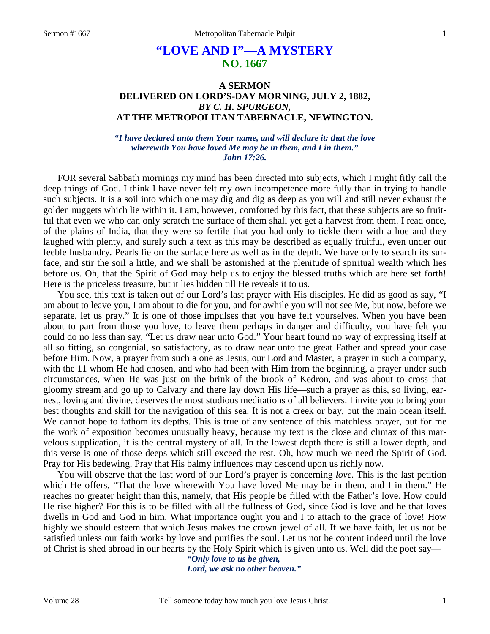# **"LOVE AND I"—A MYSTERY NO. 1667**

### **A SERMON DELIVERED ON LORD'S-DAY MORNING, JULY 2, 1882,**  *BY C. H. SPURGEON,*  **AT THE METROPOLITAN TABERNACLE, NEWINGTON.**

*"I have declared unto them Your name, and will declare it: that the love wherewith You have loved Me may be in them, and I in them." John 17:26.* 

FOR several Sabbath mornings my mind has been directed into subjects, which I might fitly call the deep things of God. I think I have never felt my own incompetence more fully than in trying to handle such subjects. It is a soil into which one may dig and dig as deep as you will and still never exhaust the golden nuggets which lie within it. I am, however, comforted by this fact, that these subjects are so fruitful that even we who can only scratch the surface of them shall yet get a harvest from them. I read once, of the plains of India, that they were so fertile that you had only to tickle them with a hoe and they laughed with plenty, and surely such a text as this may be described as equally fruitful, even under our feeble husbandry. Pearls lie on the surface here as well as in the depth. We have only to search its surface, and stir the soil a little, and we shall be astonished at the plenitude of spiritual wealth which lies before us. Oh, that the Spirit of God may help us to enjoy the blessed truths which are here set forth! Here is the priceless treasure, but it lies hidden till He reveals it to us.

 You see, this text is taken out of our Lord's last prayer with His disciples. He did as good as say, "I am about to leave you, I am about to die for you, and for awhile you will not see Me, but now, before we separate, let us pray." It is one of those impulses that you have felt yourselves. When you have been about to part from those you love, to leave them perhaps in danger and difficulty, you have felt you could do no less than say, "Let us draw near unto God." Your heart found no way of expressing itself at all so fitting, so congenial, so satisfactory, as to draw near unto the great Father and spread your case before Him. Now, a prayer from such a one as Jesus, our Lord and Master, a prayer in such a company, with the 11 whom He had chosen, and who had been with Him from the beginning, a prayer under such circumstances, when He was just on the brink of the brook of Kedron, and was about to cross that gloomy stream and go up to Calvary and there lay down His life—such a prayer as this, so living, earnest, loving and divine, deserves the most studious meditations of all believers. I invite you to bring your best thoughts and skill for the navigation of this sea. It is not a creek or bay, but the main ocean itself. We cannot hope to fathom its depths. This is true of any sentence of this matchless prayer, but for me the work of exposition becomes unusually heavy, because my text is the close and climax of this marvelous supplication, it is the central mystery of all. In the lowest depth there is still a lower depth, and this verse is one of those deeps which still exceed the rest. Oh, how much we need the Spirit of God. Pray for His bedewing. Pray that His balmy influences may descend upon us richly now.

 You will observe that the last word of our Lord's prayer is concerning *love.* This is the last petition which He offers, "That the love wherewith You have loved Me may be in them, and I in them." He reaches no greater height than this, namely, that His people be filled with the Father's love. How could He rise higher? For this is to be filled with all the fullness of God, since God is love and he that loves dwells in God and God in him. What importance ought you and I to attach to the grace of love! How highly we should esteem that which Jesus makes the crown jewel of all. If we have faith, let us not be satisfied unless our faith works by love and purifies the soul. Let us not be content indeed until the love of Christ is shed abroad in our hearts by the Holy Spirit which is given unto us. Well did the poet say—

> *"Only love to us be given, Lord, we ask no other heaven."*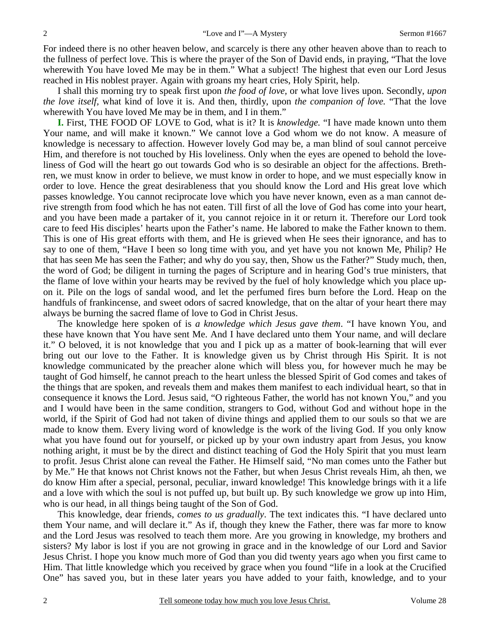For indeed there is no other heaven below, and scarcely is there any other heaven above than to reach to the fullness of perfect love. This is where the prayer of the Son of David ends, in praying, "That the love wherewith You have loved Me may be in them." What a subject! The highest that even our Lord Jesus reached in His noblest prayer. Again with groans my heart cries, Holy Spirit, help.

 I shall this morning try to speak first upon *the food of love,* or what love lives upon. Secondly, *upon the love itself,* what kind of love it is. And then, thirdly, upon *the companion of love.* "That the love wherewith You have loved Me may be in them, and I in them."

**I.** First, THE FOOD OF LOVE to God, what is it? It is *knowledge.* "I have made known unto them Your name, and will make it known." We cannot love a God whom we do not know. A measure of knowledge is necessary to affection. However lovely God may be, a man blind of soul cannot perceive Him, and therefore is not touched by His loveliness. Only when the eyes are opened to behold the loveliness of God will the heart go out towards God who is so desirable an object for the affections. Brethren, we must know in order to believe, we must know in order to hope, and we must especially know in order to love. Hence the great desirableness that you should know the Lord and His great love which passes knowledge. You cannot reciprocate love which you have never known, even as a man cannot derive strength from food which he has not eaten. Till first of all the love of God has come into your heart, and you have been made a partaker of it, you cannot rejoice in it or return it. Therefore our Lord took care to feed His disciples' hearts upon the Father's name. He labored to make the Father known to them. This is one of His great efforts with them, and He is grieved when He sees their ignorance, and has to say to one of them, "Have I been so long time with you, and yet have you not known Me, Philip? He that has seen Me has seen the Father; and why do you say, then, Show us the Father?" Study much, then, the word of God; be diligent in turning the pages of Scripture and in hearing God's true ministers, that the flame of love within your hearts may be revived by the fuel of holy knowledge which you place upon it. Pile on the logs of sandal wood, and let the perfumed fires burn before the Lord. Heap on the handfuls of frankincense, and sweet odors of sacred knowledge, that on the altar of your heart there may always be burning the sacred flame of love to God in Christ Jesus.

 The knowledge here spoken of is *a knowledge which Jesus gave them*. "I have known You, and these have known that You have sent Me. And I have declared unto them Your name, and will declare it." O beloved, it is not knowledge that you and I pick up as a matter of book-learning that will ever bring out our love to the Father. It is knowledge given us by Christ through His Spirit. It is not knowledge communicated by the preacher alone which will bless you, for however much he may be taught of God himself, he cannot preach to the heart unless the blessed Spirit of God comes and takes of the things that are spoken, and reveals them and makes them manifest to each individual heart, so that in consequence it knows the Lord. Jesus said, "O righteous Father, the world has not known You," and you and I would have been in the same condition, strangers to God, without God and without hope in the world, if the Spirit of God had not taken of divine things and applied them to our souls so that we are made to know them. Every living word of knowledge is the work of the living God. If you only know what you have found out for yourself, or picked up by your own industry apart from Jesus, you know nothing aright, it must be by the direct and distinct teaching of God the Holy Spirit that you must learn to profit. Jesus Christ alone can reveal the Father. He Himself said, "No man comes unto the Father but by Me." He that knows not Christ knows not the Father, but when Jesus Christ reveals Him, ah then, we do know Him after a special, personal, peculiar, inward knowledge! This knowledge brings with it a life and a love with which the soul is not puffed up, but built up. By such knowledge we grow up into Him, who is our head, in all things being taught of the Son of God.

 This knowledge, dear friends, *comes to us gradually*. The text indicates this. "I have declared unto them Your name, and will declare it." As if, though they knew the Father, there was far more to know and the Lord Jesus was resolved to teach them more. Are you growing in knowledge, my brothers and sisters? My labor is lost if you are not growing in grace and in the knowledge of our Lord and Savior Jesus Christ. I hope you know much more of God than you did twenty years ago when you first came to Him. That little knowledge which you received by grace when you found "life in a look at the Crucified One" has saved you, but in these later years you have added to your faith, knowledge, and to your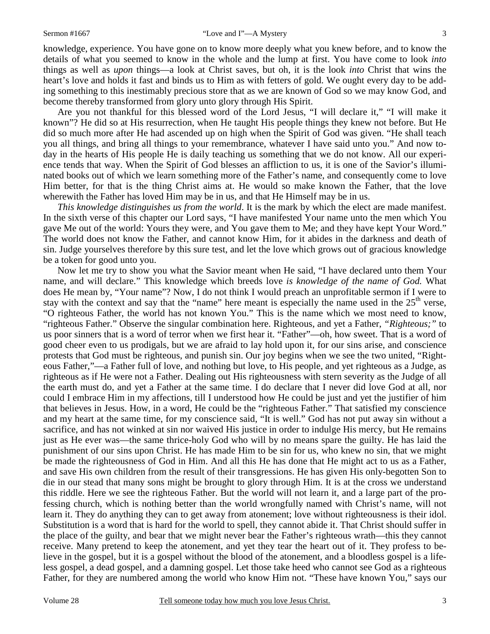knowledge, experience. You have gone on to know more deeply what you knew before, and to know the details of what you seemed to know in the whole and the lump at first. You have come to look *into* things as well as *upon* things—a look at Christ saves, but oh, it is the look *into* Christ that wins the heart's love and holds it fast and binds us to Him as with fetters of gold. We ought every day to be adding something to this inestimably precious store that as we are known of God so we may know God, and become thereby transformed from glory unto glory through His Spirit.

 Are you not thankful for this blessed word of the Lord Jesus, "I will declare it," "I will make it known"? He did so at His resurrection, when He taught His people things they knew not before. But He did so much more after He had ascended up on high when the Spirit of God was given. "He shall teach you all things, and bring all things to your remembrance, whatever I have said unto you." And now today in the hearts of His people He is daily teaching us something that we do not know. All our experience tends that way. When the Spirit of God blesses an affliction to us, it is one of the Savior's illuminated books out of which we learn something more of the Father's name, and consequently come to love Him better, for that is the thing Christ aims at. He would so make known the Father, that the love wherewith the Father has loved Him may be in us, and that He Himself may be in us.

*This knowledge distinguishes us from the world*. It is the mark by which the elect are made manifest. In the sixth verse of this chapter our Lord says, "I have manifested Your name unto the men which You gave Me out of the world: Yours they were, and You gave them to Me; and they have kept Your Word." The world does not know the Father, and cannot know Him, for it abides in the darkness and death of sin. Judge yourselves therefore by this sure test, and let the love which grows out of gracious knowledge be a token for good unto you.

 Now let me try to show you what the Savior meant when He said, "I have declared unto them Your name, and will declare." This knowledge which breeds love *is knowledge of the name of God.* What does He mean by, "Your name"? Now, I do not think I would preach an unprofitable sermon if I were to stay with the context and say that the "name" here meant is especially the name used in the  $25<sup>th</sup>$  verse, "O righteous Father, the world has not known You." This is the name which we most need to know, "righteous Father." Observe the singular combination here. Righteous, and yet a Father, *"Righteous;"* to us poor sinners that is a word of terror when we first hear it. "Father"—oh, how sweet. That is a word of good cheer even to us prodigals, but we are afraid to lay hold upon it, for our sins arise, and conscience protests that God must be righteous, and punish sin. Our joy begins when we see the two united, "Righteous Father,"—a Father full of love, and nothing but love, to His people, and yet righteous as a Judge, as righteous as if He were not a Father. Dealing out His righteousness with stern severity as the Judge of all the earth must do, and yet a Father at the same time. I do declare that I never did love God at all, nor could I embrace Him in my affections, till I understood how He could be just and yet the justifier of him that believes in Jesus. How, in a word, He could be the "righteous Father." That satisfied my conscience and my heart at the same time, for my conscience said, "It is well." God has not put away sin without a sacrifice, and has not winked at sin nor waived His justice in order to indulge His mercy, but He remains just as He ever was—the same thrice-holy God who will by no means spare the guilty. He has laid the punishment of our sins upon Christ. He has made Him to be sin for us, who knew no sin, that we might be made the righteousness of God in Him. And all this He has done that He might act to us as a Father, and save His own children from the result of their transgressions. He has given His only-begotten Son to die in our stead that many sons might be brought to glory through Him. It is at the cross we understand this riddle. Here we see the righteous Father. But the world will not learn it, and a large part of the professing church, which is nothing better than the world wrongfully named with Christ's name, will not learn it. They do anything they can to get away from atonement; love without righteousness is their idol. Substitution is a word that is hard for the world to spell, they cannot abide it. That Christ should suffer in the place of the guilty, and bear that we might never bear the Father's righteous wrath—this they cannot receive. Many pretend to keep the atonement, and yet they tear the heart out of it. They profess to believe in the gospel, but it is a gospel without the blood of the atonement, and a bloodless gospel is a lifeless gospel, a dead gospel, and a damning gospel. Let those take heed who cannot see God as a righteous Father, for they are numbered among the world who know Him not. "These have known You," says our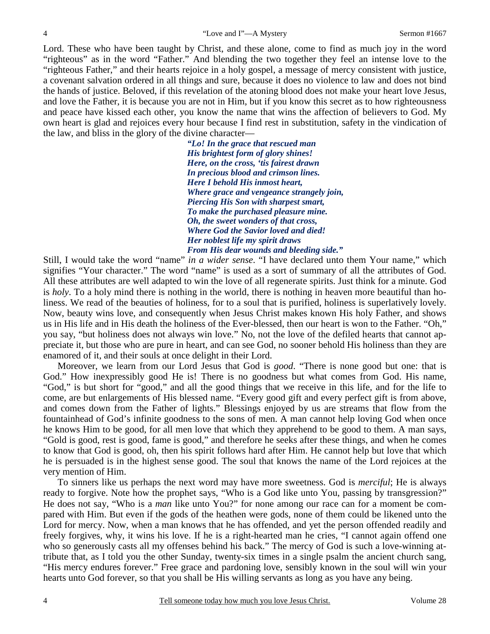Lord. These who have been taught by Christ, and these alone, come to find as much joy in the word "righteous" as in the word "Father." And blending the two together they feel an intense love to the "righteous Father," and their hearts rejoice in a holy gospel, a message of mercy consistent with justice, a covenant salvation ordered in all things and sure, because it does no violence to law and does not bind the hands of justice. Beloved, if this revelation of the atoning blood does not make your heart love Jesus, and love the Father, it is because you are not in Him, but if you know this secret as to how righteousness and peace have kissed each other, you know the name that wins the affection of believers to God. My own heart is glad and rejoices every hour because I find rest in substitution, safety in the vindication of the law, and bliss in the glory of the divine character—

> *"Lo! In the grace that rescued man His brightest form of glory shines! Here, on the cross, 'tis fairest drawn In precious blood and crimson lines. Here I behold His inmost heart, Where grace and vengeance strangely join, Piercing His Son with sharpest smart, To make the purchased pleasure mine. Oh, the sweet wonders of that cross, Where God the Savior loved and died! Her noblest life my spirit draws From His dear wounds and bleeding side."*

Still, I would take the word "name" *in a wider sense*. "I have declared unto them Your name," which signifies "Your character." The word "name" is used as a sort of summary of all the attributes of God. All these attributes are well adapted to win the love of all regenerate spirits. Just think for a minute. God is *holy*. To a holy mind there is nothing in the world, there is nothing in heaven more beautiful than holiness. We read of the beauties of holiness, for to a soul that is purified, holiness is superlatively lovely. Now, beauty wins love, and consequently when Jesus Christ makes known His holy Father, and shows us in His life and in His death the holiness of the Ever-blessed, then our heart is won to the Father. "Oh," you say, "but holiness does not always win love." No, not the love of the defiled hearts that cannot appreciate it, but those who are pure in heart, and can see God, no sooner behold His holiness than they are enamored of it, and their souls at once delight in their Lord.

 Moreover, we learn from our Lord Jesus that God is *good*. "There is none good but one: that is God." How inexpressibly good He is! There is no goodness but what comes from God. His name, "God," is but short for "good," and all the good things that we receive in this life, and for the life to come, are but enlargements of His blessed name. "Every good gift and every perfect gift is from above, and comes down from the Father of lights." Blessings enjoyed by us are streams that flow from the fountainhead of God's infinite goodness to the sons of men. A man cannot help loving God when once he knows Him to be good, for all men love that which they apprehend to be good to them. A man says, "Gold is good, rest is good, fame is good," and therefore he seeks after these things, and when he comes to know that God is good, oh, then his spirit follows hard after Him. He cannot help but love that which he is persuaded is in the highest sense good. The soul that knows the name of the Lord rejoices at the very mention of Him.

 To sinners like us perhaps the next word may have more sweetness. God is *merciful*; He is always ready to forgive. Note how the prophet says, "Who is a God like unto You, passing by transgression?" He does not say, "Who is a *man* like unto You?" for none among our race can for a moment be compared with Him. But even if the gods of the heathen were gods, none of them could be likened unto the Lord for mercy. Now, when a man knows that he has offended, and yet the person offended readily and freely forgives, why, it wins his love. If he is a right-hearted man he cries, "I cannot again offend one who so generously casts all my offenses behind his back." The mercy of God is such a love-winning attribute that, as I told you the other Sunday, twenty-six times in a single psalm the ancient church sang, "His mercy endures forever." Free grace and pardoning love, sensibly known in the soul will win your hearts unto God forever, so that you shall be His willing servants as long as you have any being.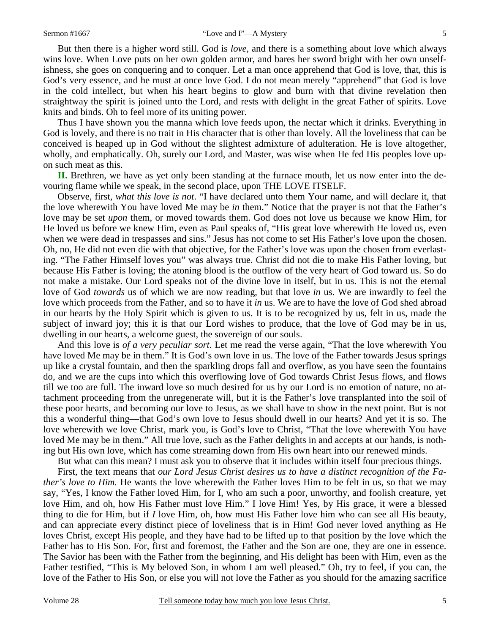But then there is a higher word still. God is *love,* and there is a something about love which always wins love. When Love puts on her own golden armor, and bares her sword bright with her own unselfishness, she goes on conquering and to conquer. Let a man once apprehend that God is love, that, this is God's very essence, and he must at once love God. I do not mean merely "apprehend" that God is love in the cold intellect, but when his heart begins to glow and burn with that divine revelation then straightway the spirit is joined unto the Lord, and rests with delight in the great Father of spirits. Love knits and binds. Oh to feel more of its uniting power.

 Thus I have shown you the manna which love feeds upon, the nectar which it drinks. Everything in God is lovely, and there is no trait in His character that is other than lovely. All the loveliness that can be conceived is heaped up in God without the slightest admixture of adulteration. He is love altogether, wholly, and emphatically. Oh, surely our Lord, and Master, was wise when He fed His peoples love upon such meat as this.

**II.** Brethren, we have as yet only been standing at the furnace mouth, let us now enter into the devouring flame while we speak, in the second place, upon THE LOVE ITSELF.

 Observe, first, *what this love is not*. "I have declared unto them Your name, and will declare it, that the love wherewith You have loved Me may be *in* them." Notice that the prayer is not that the Father's love may be set *upon* them, or moved towards them. God does not love us because we know Him, for He loved us before we knew Him, even as Paul speaks of, "His great love wherewith He loved us, even when we were dead in trespasses and sins." Jesus has not come to set His Father's love upon the chosen. Oh, no, He did not even die with that objective, for the Father's love was upon the chosen from everlasting. "The Father Himself loves you" was always true. Christ did not die to make His Father loving, but because His Father is loving; the atoning blood is the outflow of the very heart of God toward us. So do not make a mistake. Our Lord speaks not of the divine love in itself, but in us. This is not the eternal love of God *towards* us of which we are now reading, but that love *in* us. We are inwardly to feel the love which proceeds from the Father, and so to have it *in* us. We are to have the love of God shed abroad in our hearts by the Holy Spirit which is given to us. It is to be recognized by us, felt in us, made the subject of inward joy; this it is that our Lord wishes to produce, that the love of God may be in us, dwelling in our hearts, a welcome guest, the sovereign of our souls.

 And this love is *of a very peculiar sort*. Let me read the verse again, "That the love wherewith You have loved Me may be in them." It is God's own love in us. The love of the Father towards Jesus springs up like a crystal fountain, and then the sparkling drops fall and overflow, as you have seen the fountains do, and we are the cups into which this overflowing love of God towards Christ Jesus flows, and flows till we too are full. The inward love so much desired for us by our Lord is no emotion of nature, no attachment proceeding from the unregenerate will, but it is the Father's love transplanted into the soil of these poor hearts, and becoming our love to Jesus, as we shall have to show in the next point. But is not this a wonderful thing—that God's own love to Jesus should dwell in our hearts? And yet it is so. The love wherewith we love Christ, mark you, is God's love to Christ, "That the love wherewith You have loved Me may be in them." All true love, such as the Father delights in and accepts at our hands, is nothing but His own love, which has come streaming down from His own heart into our renewed minds.

But what can this mean? I must ask you to observe that it includes within itself four precious things.

 First, the text means that *our Lord Jesus Christ desires us to have a distinct recognition of the Father's love to Him.* He wants the love wherewith the Father loves Him to be felt in us, so that we may say, "Yes, I know the Father loved Him, for I, who am such a poor, unworthy, and foolish creature, yet love Him, and oh, how His Father must love Him." I love Him! Yes, by His grace, it were a blessed thing to die for Him, but if *I* love Him, oh, how must His Father love him who can see all His beauty, and can appreciate every distinct piece of loveliness that is in Him! God never loved anything as He loves Christ, except His people, and they have had to be lifted up to that position by the love which the Father has to His Son. For, first and foremost, the Father and the Son are one, they are one in essence. The Savior has been with the Father from the beginning, and His delight has been with Him, even as the Father testified, "This is My beloved Son, in whom I am well pleased." Oh, try to feel, if you can, the love of the Father to His Son, or else you will not love the Father as you should for the amazing sacrifice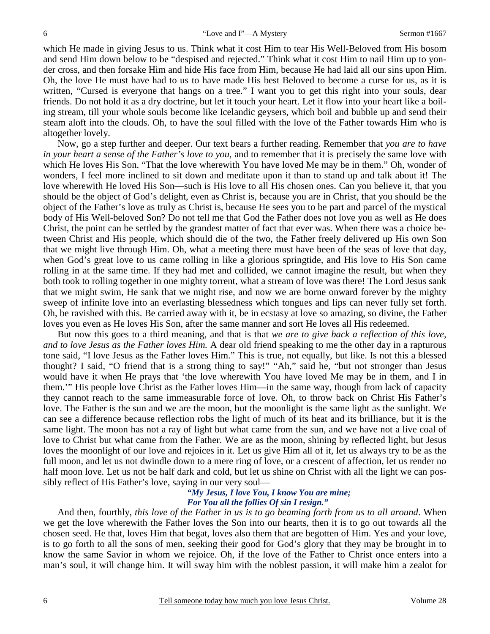which He made in giving Jesus to us. Think what it cost Him to tear His Well-Beloved from His bosom and send Him down below to be "despised and rejected." Think what it cost Him to nail Him up to yonder cross, and then forsake Him and hide His face from Him, because He had laid all our sins upon Him. Oh, the love He must have had to us to have made His best Beloved to become a curse for us, as it is written, "Cursed is everyone that hangs on a tree." I want you to get this right into your souls, dear friends. Do not hold it as a dry doctrine, but let it touch your heart. Let it flow into your heart like a boiling stream, till your whole souls become like Icelandic geysers, which boil and bubble up and send their steam aloft into the clouds. Oh, to have the soul filled with the love of the Father towards Him who is altogether lovely.

 Now, go a step further and deeper. Our text bears a further reading. Remember that *you are to have in your heart a sense of the Father's love to you,* and to remember that it is precisely the same love with which He loves His Son. "That the love wherewith You have loved Me may be in them." Oh, wonder of wonders, I feel more inclined to sit down and meditate upon it than to stand up and talk about it! The love wherewith He loved His Son—such is His love to all His chosen ones. Can you believe it, that you should be the object of God's delight, even as Christ is, because you are in Christ, that you should be the object of the Father's love as truly as Christ is, because He sees you to be part and parcel of the mystical body of His Well-beloved Son? Do not tell me that God the Father does not love you as well as He does Christ, the point can be settled by the grandest matter of fact that ever was. When there was a choice between Christ and His people, which should die of the two, the Father freely delivered up His own Son that we might live through Him. Oh, what a meeting there must have been of the seas of love that day, when God's great love to us came rolling in like a glorious springtide, and His love to His Son came rolling in at the same time. If they had met and collided, we cannot imagine the result, but when they both took to rolling together in one mighty torrent, what a stream of love was there! The Lord Jesus sank that we might swim, He sank that we might rise, and now we are borne onward forever by the mighty sweep of infinite love into an everlasting blessedness which tongues and lips can never fully set forth. Oh, be ravished with this. Be carried away with it, be in ecstasy at love so amazing, so divine, the Father loves you even as He loves His Son, after the same manner and sort He loves all His redeemed.

 But now this goes to a third meaning, and that is that *we are to give back a reflection of this love, and to love Jesus as the Father loves Him.* A dear old friend speaking to me the other day in a rapturous tone said, "I love Jesus as the Father loves Him." This is true, not equally, but like. Is not this a blessed thought? I said, "O friend that is a strong thing to say!" "Ah," said he, "but not stronger than Jesus would have it when He prays that 'the love wherewith You have loved Me may be in them, and I in them.'" His people love Christ as the Father loves Him—in the same way, though from lack of capacity they cannot reach to the same immeasurable force of love. Oh, to throw back on Christ His Father's love. The Father is the sun and we are the moon, but the moonlight is the same light as the sunlight. We can see a difference because reflection robs the light of much of its heat and its brilliance, but it is the same light. The moon has not a ray of light but what came from the sun, and we have not a live coal of love to Christ but what came from the Father. We are as the moon, shining by reflected light, but Jesus loves the moonlight of our love and rejoices in it. Let us give Him all of it, let us always try to be as the full moon, and let us not dwindle down to a mere ring of love, or a crescent of affection, let us render no half moon love. Let us not be half dark and cold, but let us shine on Christ with all the light we can possibly reflect of His Father's love, saying in our very soul—

## *"My Jesus, I love You, I know You are mine; For You all the follies Of sin I resign."*

 And then, fourthly, *this love of the Father in us is to go beaming forth from us to all around*. When we get the love wherewith the Father loves the Son into our hearts, then it is to go out towards all the chosen seed. He that, loves Him that begat, loves also them that are begotten of Him. Yes and your love, is to go forth to all the sons of men, seeking their good for God's glory that they may be brought in to know the same Savior in whom we rejoice. Oh, if the love of the Father to Christ once enters into a man's soul, it will change him. It will sway him with the noblest passion, it will make him a zealot for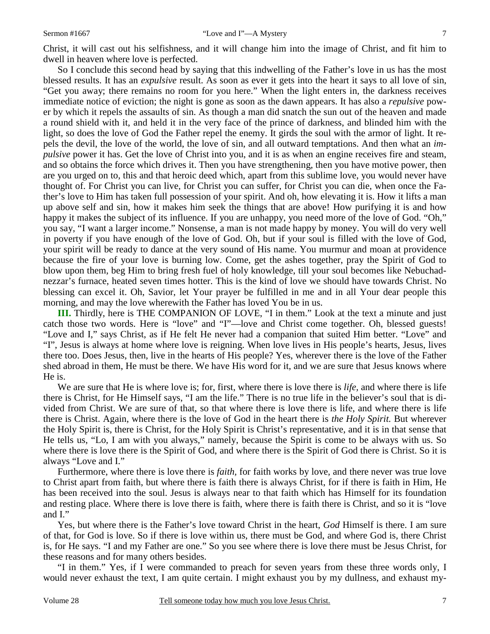Christ, it will cast out his selfishness, and it will change him into the image of Christ, and fit him to dwell in heaven where love is perfected.

 So I conclude this second head by saying that this indwelling of the Father's love in us has the most blessed results. It has an *expulsive* result. As soon as ever it gets into the heart it says to all love of sin, "Get you away; there remains no room for you here." When the light enters in, the darkness receives immediate notice of eviction; the night is gone as soon as the dawn appears. It has also a *repulsive* power by which it repels the assaults of sin. As though a man did snatch the sun out of the heaven and made a round shield with it, and held it in the very face of the prince of darkness, and blinded him with the light, so does the love of God the Father repel the enemy. It girds the soul with the armor of light. It repels the devil, the love of the world, the love of sin, and all outward temptations. And then what an *impulsive* power it has. Get the love of Christ into you, and it is as when an engine receives fire and steam, and so obtains the force which drives it. Then you have strengthening, then you have motive power, then are you urged on to, this and that heroic deed which, apart from this sublime love, you would never have thought of. For Christ you can live, for Christ you can suffer, for Christ you can die, when once the Father's love to Him has taken full possession of your spirit. And oh, how elevating it is. How it lifts a man up above self and sin, how it makes him seek the things that are above! How purifying it is and how happy it makes the subject of its influence. If you are unhappy, you need more of the love of God. "Oh," you say, "I want a larger income." Nonsense, a man is not made happy by money. You will do very well in poverty if you have enough of the love of God. Oh, but if your soul is filled with the love of God, your spirit will be ready to dance at the very sound of His name. You murmur and moan at providence because the fire of your love is burning low. Come, get the ashes together, pray the Spirit of God to blow upon them, beg Him to bring fresh fuel of holy knowledge, till your soul becomes like Nebuchadnezzar's furnace, heated seven times hotter. This is the kind of love we should have towards Christ. No blessing can excel it. Oh, Savior, let Your prayer be fulfilled in me and in all Your dear people this morning, and may the love wherewith the Father has loved You be in us.

**III.** Thirdly, here is THE COMPANION OF LOVE, "I in them." Look at the text a minute and just catch those two words. Here is "love" and "I"—love and Christ come together. Oh, blessed guests! "Love and I," says Christ, as if He felt He never had a companion that suited Him better. "Love" and "I", Jesus is always at home where love is reigning. When love lives in His people's hearts, Jesus, lives there too. Does Jesus, then, live in the hearts of His people? Yes, wherever there is the love of the Father shed abroad in them, He must be there. We have His word for it, and we are sure that Jesus knows where He is.

 We are sure that He is where love is; for, first, where there is love there is *life,* and where there is life there is Christ, for He Himself says, "I am the life." There is no true life in the believer's soul that is divided from Christ. We are sure of that, so that where there is love there is life, and where there is life there is Christ. Again, where there is the love of God in the heart there is *the Holy Spirit.* But wherever the Holy Spirit is, there is Christ, for the Holy Spirit is Christ's representative, and it is in that sense that He tells us, "Lo, I am with you always," namely, because the Spirit is come to be always with us. So where there is love there is the Spirit of God, and where there is the Spirit of God there is Christ. So it is always "Love and I."

 Furthermore, where there is love there is *faith,* for faith works by love, and there never was true love to Christ apart from faith, but where there is faith there is always Christ, for if there is faith in Him, He has been received into the soul. Jesus is always near to that faith which has Himself for its foundation and resting place. Where there is love there is faith, where there is faith there is Christ, and so it is "love and I."

 Yes, but where there is the Father's love toward Christ in the heart, *God* Himself is there. I am sure of that, for God is love. So if there is love within us, there must be God, and where God is, there Christ is, for He says. "I and my Father are one." So you see where there is love there must be Jesus Christ, for these reasons and for many others besides.

 "I in them." Yes, if I were commanded to preach for seven years from these three words only, I would never exhaust the text, I am quite certain. I might exhaust you by my dullness, and exhaust my